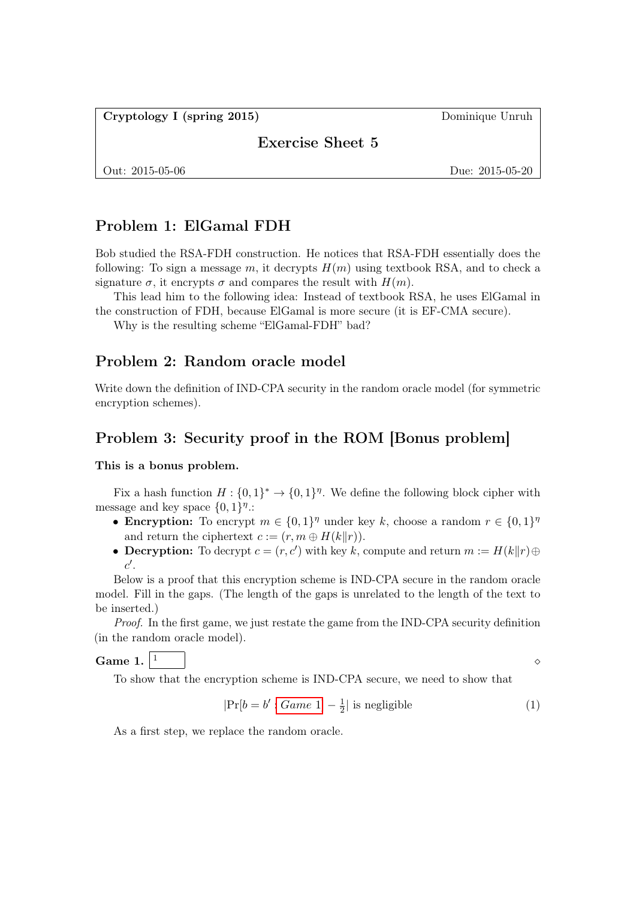Cryptology I (spring 2015) Dominique Unruh

Exercise Sheet 5

Out: 2015-05-06 Due: 2015-05-20

# Problem 1: ElGamal FDH

Bob studied the RSA-FDH construction. He notices that RSA-FDH essentially does the following: To sign a message m, it decrypts  $H(m)$  using textbook RSA, and to check a signature  $\sigma$ , it encrypts  $\sigma$  and compares the result with  $H(m)$ .

This lead him to the following idea: Instead of textbook RSA, he uses ElGamal in the construction of FDH, because ElGamal is more secure (it is EF-CMA secure).

Why is the resulting scheme "ElGamal-FDH" bad?

### Problem 2: Random oracle model

Write down the definition of IND-CPA security in the random oracle model (for symmetric encryption schemes).

### Problem 3: Security proof in the ROM [Bonus problem]

This is a bonus problem.

Fix a hash function  $H: \{0,1\}^* \to \{0,1\}^{\eta}$ . We define the following block cipher with message and key space  $\{0,1\}^{\eta}$ .

- Encryption: To encrypt  $m \in \{0,1\}^{\eta}$  under key k, choose a random  $r \in \{0,1\}^{\eta}$ and return the ciphertext  $c := (r, m \oplus H(k||r)).$
- **Decryption:** To decrypt  $c = (r, c')$  with key k, compute and return  $m := H(k||r) \oplus$  $c'.$

Below is a proof that this encryption scheme is IND-CPA secure in the random oracle model. Fill in the gaps. (The length of the gaps is unrelated to the length of the text to be inserted.)

Proof. In the first game, we just restate the game from the IND-CPA security definition (in the random oracle model).

<span id="page-0-0"></span>Game 1.  $\vert 1 \vert$   $\vert$   $\in$ 

<span id="page-0-1"></span>

To show that the encryption scheme is IND-CPA secure, we need to show that

$$
|\Pr[b = b' : Game 1] - \frac{1}{2}| \text{ is negligible} \tag{1}
$$

As a first step, we replace the random oracle.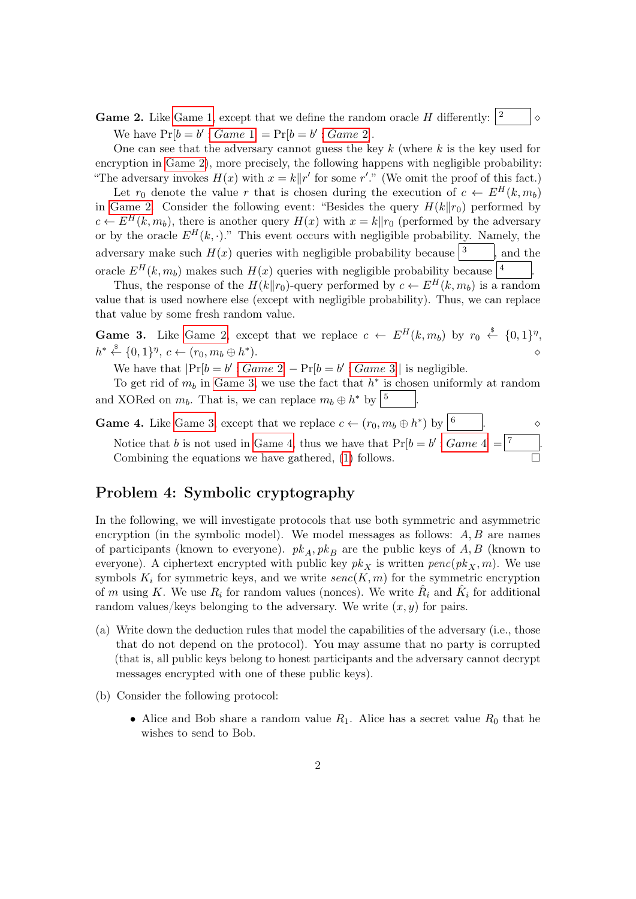<span id="page-1-0"></span>**Game 2.** Like [Game 1,](#page-0-0) except that we define the random oracle H differently:  $\begin{vmatrix} 2 & \mathbf{1} \end{vmatrix}$ We have  $Pr[b = b' : Game 1] = Pr[b = b' : Game 2].$  $Pr[b = b' : Game 1] = Pr[b = b' : Game 2].$  $Pr[b = b' : Game 1] = Pr[b = b' : Game 2].$ 

One can see that the adversary cannot guess the key  $k$  (where  $k$  is the key used for encryption in [Game 2\)](#page-1-0), more precisely, the following happens with negligible probability: "The adversary invokes  $H(x)$  with  $x = k||r'$  for some r'." (We omit the proof of this fact.)

Let  $r_0$  denote the value r that is chosen during the execution of  $c \leftarrow E^H(k, m_b)$ in [Game 2.](#page-1-0) Consider the following event: "Besides the query  $H(k||r_0)$  performed by  $c \leftarrow E^H(k, m_b)$ , there is another query  $H(x)$  with  $x = k||r_0$  (performed by the adversary or by the oracle  $E^H(k, \cdot)$ ." This event occurs with negligible probability. Namely, the adversary make such  $H(x)$  queries with negligible probability because  $\sqrt{3}$ , and the oracle  $E^H(k, m_b)$  makes such  $H(x)$  queries with negligible probability because  $\frac{1}{4}$ .

Thus, the response of the  $H(k||r_0)$ -query performed by  $c \leftarrow E^H(k, m_b)$  is a random value that is used nowhere else (except with negligible probability). Thus, we can replace that value by some fresh random value.

<span id="page-1-1"></span>**Game 3.** Like [Game 2,](#page-1-0) except that we replace  $c \leftarrow E^H(k, m_b)$  by  $r_0 \stackrel{\$}{\leftarrow} \{0, 1\}^{\eta}$ ,  $h^* \stackrel{\$}{\leftarrow} \{0,1\}^{\eta}, c \leftarrow (r_0, m_b \oplus h^*$ ).  $\qquad \qquad \diamond$ 

We have that  $|\Pr[b = b' : Game\ 2] - \Pr[b = b' : Game\ 3]|$  $|\Pr[b = b' : Game\ 2] - \Pr[b = b' : Game\ 3]|$  $|\Pr[b = b' : Game\ 2] - \Pr[b = b' : Game\ 3]|$  is negligible.

To get rid of  $m_b$  in [Game 3,](#page-1-1) we use the fact that  $h^*$  is chosen uniformly at random and XORed on  $m_b$ . That is, we can replace  $m_b \oplus h^*$  by  $\boxed{5}$ .

<span id="page-1-2"></span>**Game 4.** Like [Game 3,](#page-1-1) except that we replace  $c \leftarrow (r_0, m_b \oplus h^*)$  by  $\left[\frac{6}{3}\right]$ . Notice that b is not used in [Game 4,](#page-1-2) thus we have that  $Pr[b = b' : Game 4] = |7$  $Pr[b = b' : Game 4] = |7$  $Pr[b = b' : Game 4] = |7$  [...] Combining the equations we have gathered, [\(1\)](#page-0-1) follows.

# Problem 4: Symbolic cryptography

In the following, we will investigate protocols that use both symmetric and asymmetric encryption (in the symbolic model). We model messages as follows:  $A, B$  are names of participants (known to everyone).  $pk_A$ ,  $pk_B$  are the public keys of A, B (known to everyone). A ciphertext encrypted with public key  $pk<sub>X</sub>$  is written  $penc(pk<sub>X</sub>, m)$ . We use symbols  $K_i$  for symmetric keys, and we write  $\text{senc}(K, m)$  for the symmetric encryption of m using K. We use  $R_i$  for random values (nonces). We write  $R_i$  and  $\hat{K}_i$  for additional random values/keys belonging to the adversary. We write  $(x, y)$  for pairs.

- <span id="page-1-3"></span>(a) Write down the deduction rules that model the capabilities of the adversary (i.e., those that do not depend on the protocol). You may assume that no party is corrupted (that is, all public keys belong to honest participants and the adversary cannot decrypt messages encrypted with one of these public keys).
- <span id="page-1-4"></span>(b) Consider the following protocol:
	- Alice and Bob share a random value  $R_1$ . Alice has a secret value  $R_0$  that he wishes to send to Bob.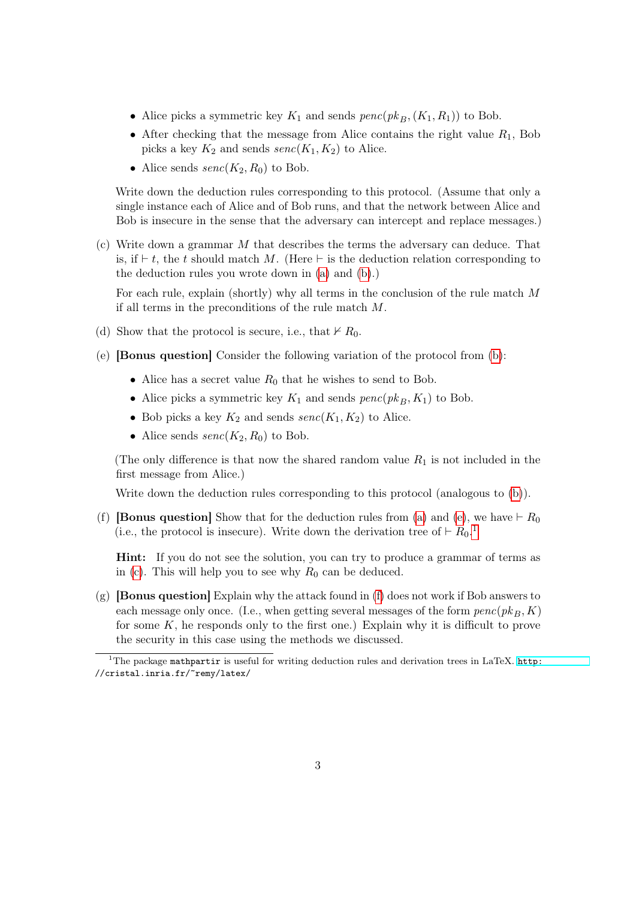- Alice picks a symmetric key  $K_1$  and sends  $penc(pk_B,(K_1, R_1))$  to Bob.
- After checking that the message from Alice contains the right value  $R_1$ , Bob picks a key  $K_2$  and sends  $\text{senc}(K_1, K_2)$  to Alice.
- Alice sends  $\text{senc}(K_2, R_0)$  to Bob.

Write down the deduction rules corresponding to this protocol. (Assume that only a single instance each of Alice and of Bob runs, and that the network between Alice and Bob is insecure in the sense that the adversary can intercept and replace messages.)

<span id="page-2-2"></span>(c) Write down a grammar  $M$  that describes the terms the adversary can deduce. That is, if  $\vdash t$ , the t should match M. (Here  $\vdash$  is the deduction relation corresponding to the deduction rules you wrote down in [\(a\)](#page-1-3) and [\(b\)](#page-1-4).)

For each rule, explain (shortly) why all terms in the conclusion of the rule match  $M$ if all terms in the preconditions of the rule match M.

- (d) Show that the protocol is secure, i.e., that  $\nvdash R_0$ .
- <span id="page-2-0"></span>(e) [Bonus question] Consider the following variation of the protocol from [\(b\)](#page-1-4):
	- Alice has a secret value  $R_0$  that he wishes to send to Bob.
	- Alice picks a symmetric key  $K_1$  and sends  $penc(pk_B, K_1)$  to Bob.
	- Bob picks a key  $K_2$  and sends  $\text{senc}(K_1, K_2)$  to Alice.
	- Alice sends  $\text{senc}(K_2, R_0)$  to Bob.

(The only difference is that now the shared random value  $R_1$  is not included in the first message from Alice.)

Write down the deduction rules corresponding to this protocol (analogous to [\(b\)](#page-1-4)).

<span id="page-2-3"></span>(f) **[Bonus question]** Show that for the deduction rules from [\(a\)](#page-1-3) and [\(e\)](#page-2-0), we have  $\vdash R_0$ (i.e., the protocol is insecure). Write down the derivation tree of  $\vdash R_0$ .<sup>[1](#page-2-1)</sup>

Hint: If you do not see the solution, you can try to produce a grammar of terms as in [\(c\)](#page-2-2). This will help you to see why  $R_0$  can be deduced.

 $(g)$  [Bonus question] Explain why the attack found in [\(f\)](#page-2-3) does not work if Bob answers to each message only once. (I.e., when getting several messages of the form  $penc(pk_B, K)$ for some  $K$ , he responds only to the first one.) Explain why it is difficult to prove the security in this case using the methods we discussed.

<span id="page-2-1"></span><sup>&</sup>lt;sup>1</sup>The package mathpartir is useful for writing deduction rules and derivation trees in LaTeX. [http:](http://cristal.inria.fr/~remy/latex/) //cristal.inria.fr/~remy/latex/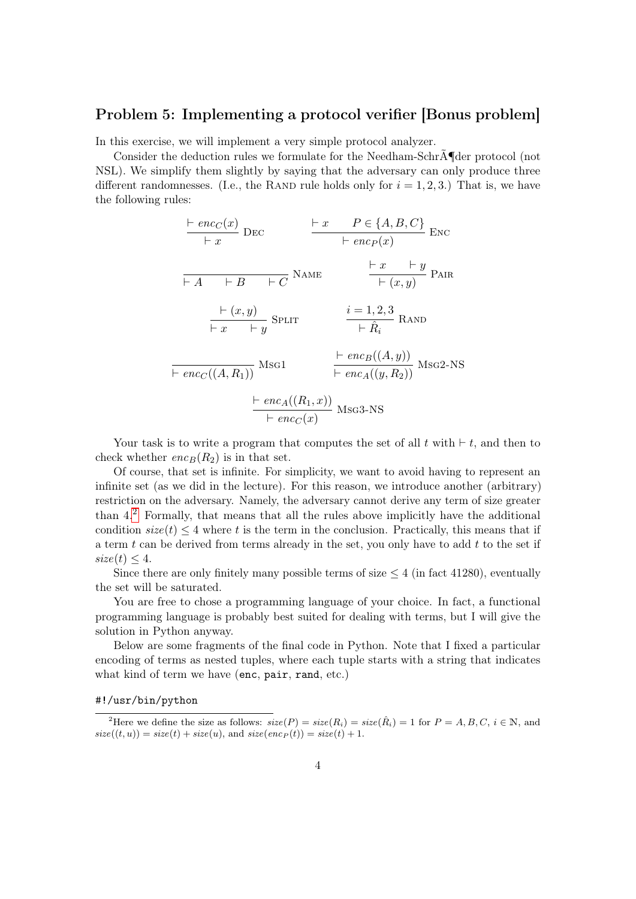# Problem 5: Implementing a protocol verifier [Bonus problem]

In this exercise, we will implement a very simple protocol analyzer.

Consider the deduction rules we formulate for the Needham-SchrÃ¶der protocol (not NSL). We simplify them slightly by saying that the adversary can only produce three different randomnesses. (I.e., the RAND rule holds only for  $i = 1, 2, 3$ .) That is, we have the following rules:

$$
\frac{\text{F}enc_C(x)}{\text{F}x} \text{ DEC} \qquad \frac{\text{F}x}{\text{F}enc_P(x)} \text{Enc}_P(x)}{\text{F}x \qquad \text{F}x \qquad \text{F}c} \text{EMC}
$$
\n
$$
\frac{\text{F}x}{\text{F}x} \qquad \frac{\text{F}x}{\text{F}x} \qquad \frac{\text{F}x}{\text{F}x} \qquad \text{F}y}{\text{F}x \qquad \text{F}y} \text{B}^2
$$
\n
$$
\frac{\text{F}x}{\text{F}x} \qquad \frac{\text{F}y}{\text{F}x} \qquad \frac{\text{F}x}{\text{F}x} \qquad \frac{\text{F}y}{\text{F}x} \text{RAND}}{\text{F}enc_C((A, R_1))} \text{Msg1}
$$
\n
$$
\frac{\text{F}enc_B((A, y))}{\text{F}enc_A((y, R_2))} \text{Msg2-NS}
$$
\n
$$
\frac{\text{F}enc_A((R_1, x))}{\text{F}enc_C(x)} \text{Msg3-NS}
$$

Your task is to write a program that computes the set of all  $t$  with  $\vdash t$ , and then to check whether  $enc_B(R_2)$  is in that set.

Of course, that set is infinite. For simplicity, we want to avoid having to represent an infinite set (as we did in the lecture). For this reason, we introduce another (arbitrary) restriction on the adversary. Namely, the adversary cannot derive any term of size greater than 4.[2](#page-3-0) Formally, that means that all the rules above implicitly have the additional condition  $size(t) \leq 4$  where t is the term in the conclusion. Practically, this means that if a term  $t$  can be derived from terms already in the set, you only have to add  $t$  to the set if  $size(t) < 4.$ 

Since there are only finitely many possible terms of size  $\leq 4$  (in fact 41280), eventually the set will be saturated.

You are free to chose a programming language of your choice. In fact, a functional programming language is probably best suited for dealing with terms, but I will give the solution in Python anyway.

Below are some fragments of the final code in Python. Note that I fixed a particular encoding of terms as nested tuples, where each tuple starts with a string that indicates what kind of term we have (enc, pair, rand, etc.)

#### #!/usr/bin/python

<span id="page-3-0"></span><sup>&</sup>lt;sup>2</sup>Here we define the size as follows:  $size(P) = size(R_i) = size(\hat{R_i}) = 1$  for  $P = A, B, C, i \in \mathbb{N}$ , and  $size((t, u)) = size(t) + size(u)$ , and  $size(enc_P(t)) = size(t) + 1$ .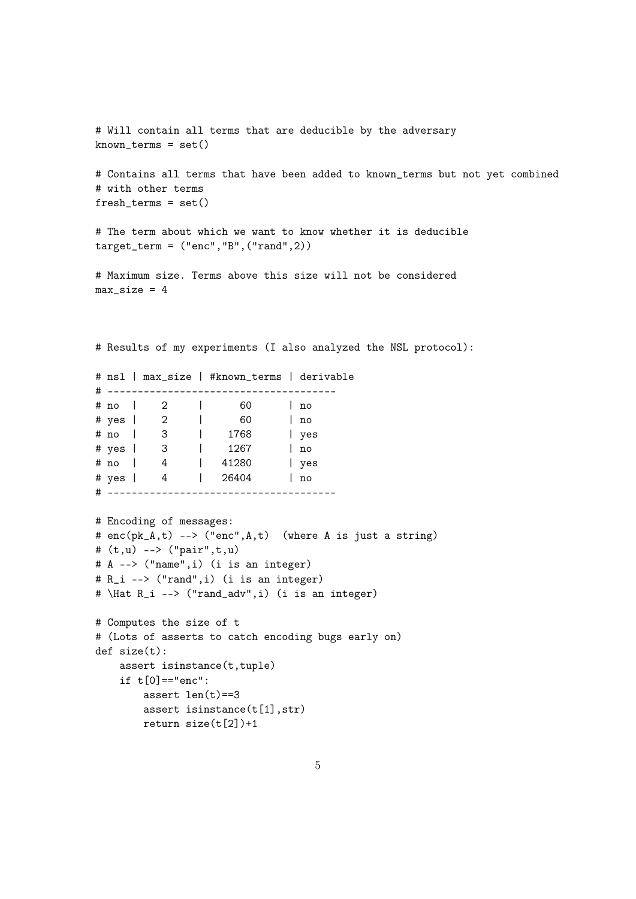```
# Will contain all terms that are deducible by the adversary
known_terms = set()# Contains all terms that have been added to known_terms but not yet combined
# with other terms
fresh_terms = set()# The term about which we want to know whether it is deducible
target_term = ("enc","B",("rand",2))
# Maximum size. Terms above this size will not be considered
max_size = 4# Results of my experiments (I also analyzed the NSL protocol):
# nsl | max_size | #known_terms | derivable
# --------------------------------------
# no | 2 | 60 | no
# yes | 2 | 60 | no
# no | 3 | 1768 | yes
# yes | 3 | 1267 | no
# no | 4 | 41280 | yes
# yes | 4 | 26404 | no
# --------------------------------------
# Encoding of messages:
# enc(pk_A,t) --> ("enc",A,t) (where A is just a string)
# (t,u) --> ("pair",t,u)
# A --> ("name",i) (i is an integer)
# R_i --> ("rand",i) (i is an integer)
# \Hat R_i --> ("rand_adv",i) (i is an integer)
# Computes the size of t
# (Lots of asserts to catch encoding bugs early on)
def size(t):
   assert isinstance(t,tuple)
   if t[0] == "enc":assert len(t) == 3assert isinstance(t[1],str)
```
return size(t[2])+1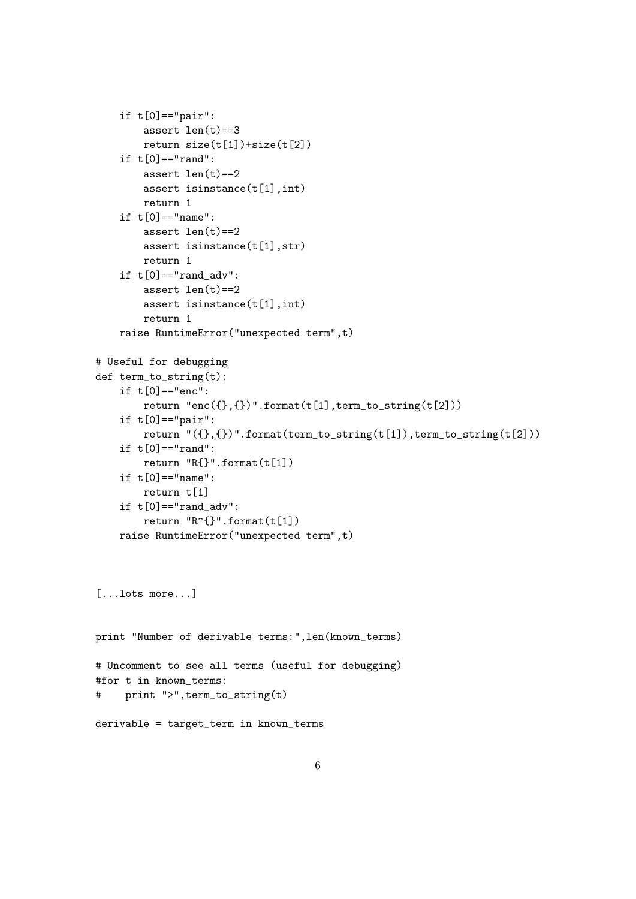```
if t[0] == "pair":assert len(t) == 3return size(t[1])+size(t[2])
    if t[0] == "rand":assert len(t)==2
        assert isinstance(t[1],int)
        return 1
    if t[0] == "name":assert len(t) == 2assert isinstance(t[1],str)
        return 1
    if t[0] == "rand\_adv":assert len(t) == 2assert isinstance(t[1],int)
        return 1
    raise RuntimeError("unexpected term",t)
# Useful for debugging
def term_to_string(t):
    if t[0] == "enc":return "enc({}, {})" .format(t[1],term_to_string(t[2]))if t[0] == "pair":return "({},{})".format(term_to_string(t[1]),term_to_string(t[2]))
    if t[0] == "rand":return "R{}".format(t[1])
    if t[0] == "name":return t[1]
    if t[0] == "rand adv":return "R^{}".format(t[1])
    raise RuntimeError("unexpected term",t)
[...lots more...]
print "Number of derivable terms:",len(known_terms)
# Uncomment to see all terms (useful for debugging)
#for t in known_terms:
# print ">",term_to_string(t)
derivable = target_term in known_terms
```